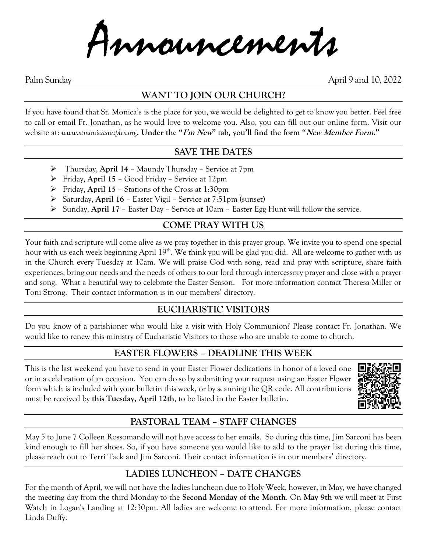Announcements

Palm Sunday April 9 and 10, 2022

# **WANT TO JOIN OUR CHURCH?**

If you have found that St. Monica's is the place for you, we would be delighted to get to know you better. Feel free to call or email Fr. Jonathan, as he would love to welcome you. Also, you can fill out our online form. Visit our website at: *www.stmonicasnaples.org***. Under the "I'm New" tab, you'll find the form "New Member Form."**

## **SAVE THE DATES**

- ➢ Thursday, **April 14** Maundy Thursday Service at 7pm
- ➢ Friday, **April 15** Good Friday Service at 12pm
- ➢ Friday, **April 15** Stations of the Cross at 1:30pm
- ➢ Saturday, **April 16** Easter Vigil Service at 7:51pm (sunset)
- ➢ Sunday, **April 17** Easter Day Service at 10am Easter Egg Hunt will follow the service.

## **COME PRAY WITH US**

Your faith and scripture will come alive as we pray together in this prayer group. We invite you to spend one special hour with us each week beginning April 19<sup>th</sup>. We think you will be glad you did. All are welcome to gather with us in the Church every Tuesday at 10am. We will praise God with song, read and pray with scripture, share faith experiences, bring our needs and the needs of others to our lord through intercessory prayer and close with a prayer and song. What a beautiful way to celebrate the Easter Season. For more information contact Theresa Miller or Toni Strong. Their contact information is in our members' directory.

## **EUCHARISTIC VISITORS**

Do you know of a parishioner who would like a visit with Holy Communion? Please contact Fr. Jonathan. We would like to renew this ministry of Eucharistic Visitors to those who are unable to come to church.

## **EASTER FLOWERS – DEADLINE THIS WEEK**

This is the last weekend you have to send in your Easter Flower dedications in honor of a loved one or in a celebration of an occasion. You can do so by submitting your request using an Easter Flower form which is included with your bulletin this week, or by scanning the QR code. All contributions must be received by **this Tuesday, April 12th**, to be listed in the Easter bulletin.



# **PASTORAL TEAM – STAFF CHANGES**

May 5 to June 7 Colleen Rossomando will not have access to her emails. So during this time, Jim Sarconi has been kind enough to fill her shoes. So, if you have someone you would like to add to the prayer list during this time, please reach out to Terri Tack and Jim Sarconi. Their contact information is in our members' directory.

# **LADIES LUNCHEON – DATE CHANGES**

For the month of April, we will not have the ladies luncheon due to Holy Week, however, in May, we have changed the meeting day from the third Monday to the **Second Monday of the Month**. On **May 9th** we will meet at First Watch in Logan's Landing at 12:30pm. All ladies are welcome to attend. For more information, please contact Linda Duffy.